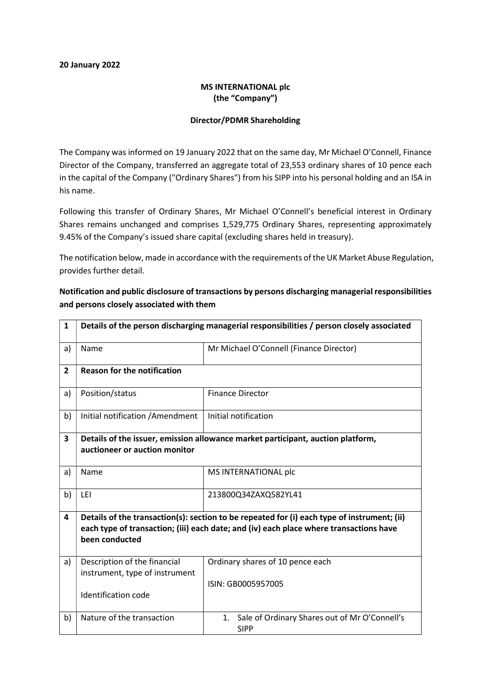#### 20 January 2022

### MS INTERNATIONAL plc (the "Company")

### Director/PDMR Shareholding

The Company was informed on 19 January 2022 that on the same day, Mr Michael O'Connell, Finance Director of the Company, transferred an aggregate total of 23,553 ordinary shares of 10 pence each in the capital of the Company ("Ordinary Shares") from his SIPP into his personal holding and an ISA in his name.

Following this transfer of Ordinary Shares, Mr Michael O'Connell's beneficial interest in Ordinary Shares remains unchanged and comprises 1,529,775 Ordinary Shares, representing approximately 9.45% of the Company's issued share capital (excluding shares held in treasury).

The notification below, made in accordance with the requirements of the UK Market Abuse Regulation, provides further detail.

| $\mathbf{1}$   | Details of the person discharging managerial responsibilities / person closely associated                                                                                                               |                                                                    |  |  |  |
|----------------|---------------------------------------------------------------------------------------------------------------------------------------------------------------------------------------------------------|--------------------------------------------------------------------|--|--|--|
| a)             | Name                                                                                                                                                                                                    | Mr Michael O'Connell (Finance Director)                            |  |  |  |
| $\overline{2}$ | <b>Reason for the notification</b>                                                                                                                                                                      |                                                                    |  |  |  |
| a)             | Position/status                                                                                                                                                                                         | <b>Finance Director</b>                                            |  |  |  |
| b)             | Initial notification / Amendment                                                                                                                                                                        | Initial notification                                               |  |  |  |
| 3              | Details of the issuer, emission allowance market participant, auction platform,<br>auctioneer or auction monitor                                                                                        |                                                                    |  |  |  |
| a)             | Name                                                                                                                                                                                                    | MS INTERNATIONAL plc                                               |  |  |  |
| b)             | LEI                                                                                                                                                                                                     | 213800Q34ZAXQ582YL41                                               |  |  |  |
| 4              | Details of the transaction(s): section to be repeated for (i) each type of instrument; (ii)<br>each type of transaction; (iii) each date; and (iv) each place where transactions have<br>been conducted |                                                                    |  |  |  |
| a)             | Description of the financial<br>instrument, type of instrument                                                                                                                                          | Ordinary shares of 10 pence each                                   |  |  |  |
|                | <b>Identification code</b>                                                                                                                                                                              | ISIN: GB0005957005                                                 |  |  |  |
| b)             | Nature of the transaction                                                                                                                                                                               | Sale of Ordinary Shares out of Mr O'Connell's<br>1.<br><b>SIPP</b> |  |  |  |

## Notification and public disclosure of transactions by persons discharging managerial responsibilities and persons closely associated with them